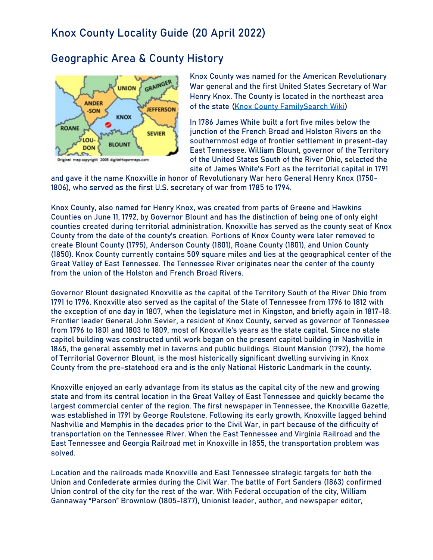## **Geographic Area & County History**



**Knox County** was named for the American Revolutionary War general and the first United States Secretary of War Henry Knox. The County is located in the northeast area of the state [\(Knox County FamilySearch Wiki\)](https://www.familysearch.org/wiki/en/Knox_County,_Tennessee_Genealogy)

In 1786 James White built a fort five miles below the junction of the French Broad and Holston Rivers on the southernmost edge of frontier settlement in present-day East Tennessee. William Blount, governor of the Territory of the United States South of the River Ohio, selected the site of James White's Fort as the territorial capital in 1791

and gave it the name Knoxville in honor of Revolutionary War hero General Henry Knox (1750- 1806), who served as the first U.S. secretary of war from 1785 to 1794.

Knox County, also named for Henry Knox, was created from parts of Greene and Hawkins Counties on June 11, 1792, by Governor Blount and has the distinction of being one of only eight counties created during territorial administration. Knoxville has served as the county seat of Knox County from the date of the county's creation. Portions of Knox County were later removed to create Blount County (1795), Anderson County (1801), Roane County (1801), and Union County (1850). Knox County currently contains 509 square miles and lies at the geographical center of the Great Valley of East Tennessee. The Tennessee River originates near the center of the county from the union of the Holston and French Broad Rivers.

Governor Blount designated Knoxville as the capital of the Territory South of the River Ohio from 1791 to 1796. Knoxville also served as the capital of the State of Tennessee from 1796 to 1812 with the exception of one day in 1807, when the legislature met in Kingston, and briefly again in 1817-18. Frontier leader General John Sevier, a resident of Knox County, served as governor of Tennessee from 1796 to 1801 and 1803 to 1809, most of Knoxville's years as the state capital. Since no state capitol building was constructed until work began on the present capitol building in Nashville in 1845, the general assembly met in taverns and public buildings. Blount Mansion (1792), the home of Territorial Governor Blount, is the most historically significant dwelling surviving in Knox County from the pre-statehood era and is the only National Historic Landmark in the county.

Knoxville enjoyed an early advantage from its status as the capital city of the new and growing state and from its central location in the Great Valley of East Tennessee and quickly became the largest commercial center of the region. The first newspaper in Tennessee, the Knoxville Gazette, was established in 1791 by George Roulstone. Following its early growth, Knoxville lagged behind Nashville and Memphis in the decades prior to the Civil War, in part because of the difficulty of transportation on the Tennessee River. When the East Tennessee and Virginia Railroad and the East Tennessee and Georgia Railroad met in Knoxville in 1855, the transportation problem was solved.

Location and the railroads made Knoxville and East Tennessee strategic targets for both the Union and Confederate armies during the Civil War. The battle of Fort Sanders (1863) confirmed Union control of the city for the rest of the war. With Federal occupation of the city, William Gannaway "Parson" Brownlow (1805-1877), Unionist leader, author, and newspaper editor,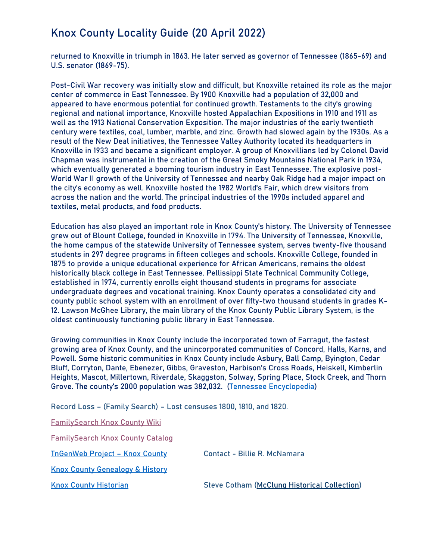returned to Knoxville in triumph in 1863. He later served as governor of Tennessee (1865-69) and U.S. senator (1869-75).

Post-Civil War recovery was initially slow and difficult, but Knoxville retained its role as the major center of commerce in East Tennessee. By 1900 Knoxville had a population of 32,000 and appeared to have enormous potential for continued growth. Testaments to the city's growing regional and national importance, Knoxville hosted Appalachian Expositions in 1910 and 1911 as well as the 1913 National Conservation Exposition. The major industries of the early twentieth century were textiles, coal, lumber, marble, and zinc. Growth had slowed again by the 1930s. As a result of the New Deal initiatives, the Tennessee Valley Authority located its headquarters in Knoxville in 1933 and became a significant employer. A group of Knoxvillians led by Colonel David Chapman was instrumental in the creation of the Great Smoky Mountains National Park in 1934, which eventually generated a booming tourism industry in East Tennessee. The explosive post-World War II growth of the University of Tennessee and nearby Oak Ridge had a major impact on the city's economy as well. Knoxville hosted the 1982 World's Fair, which drew visitors from across the nation and the world. The principal industries of the 1990s included apparel and textiles, metal products, and food products.

Education has also played an important role in Knox County's history. The University of Tennessee grew out of Blount College, founded in Knoxville in 1794. The University of Tennessee, Knoxville, the home campus of the statewide University of Tennessee system, serves twenty-five thousand students in 297 degree programs in fifteen colleges and schools. Knoxville College, founded in 1875 to provide a unique educational experience for African Americans, remains the oldest historically black college in East Tennessee. Pellissippi State Technical Community College, established in 1974, currently enrolls eight thousand students in programs for associate undergraduate degrees and vocational training. Knox County operates a consolidated city and county public school system with an enrollment of over fifty-two thousand students in grades K-12. Lawson McGhee Library, the main library of the Knox County Public Library System, is the oldest continuously functioning public library in East Tennessee.

Growing communities in Knox County include the incorporated town of Farragut, the fastest growing area of Knox County, and the unincorporated communities of Concord, Halls, Karns, and Powell. Some historic communities in Knox County include Asbury, Ball Camp, Byington, Cedar Bluff, Corryton, Dante, Ebenezer, Gibbs, Graveston, Harbison's Cross Roads, Heiskell, Kimberlin Heights, Mascot, Millertown, Riverdale, Skaggston, Solway, Spring Place, Stock Creek, and Thorn Grove. The county's 2000 population was 382,032. [\(Tennessee Encyclopedia\)](https://tennesseeencyclopedia.net/entries/knox-county/)

**Record Loss – (Family Search) – Lost censuses 1800, 1810, and 1820.**

**[FamilySearch Knox County Wiki](https://www.familysearch.org/en/wiki/Knox_County,_Tennessee_Genealogy)**

**[FamilySearch Knox](https://www.familysearch.org/search/catalog/results?count=20&placeId=194956&query=%2Bplace%3A%22United%20States%2C%20Tennessee%2C%20Knox%22) County Catalog**

**[TnGenWeb Project](https://knoxcotn.org/old_site/index.html) – Knox County Contact - Billie R. McNamara**

**Knox [County Genealogy & History](https://knoxcotn.org/old_site/index.html)**

**Knox County Historian Steve Cotham [\(McClung Historical Collection\)](https://www.knoxcountylibrary.org/calvin-m-mcclung-collection)**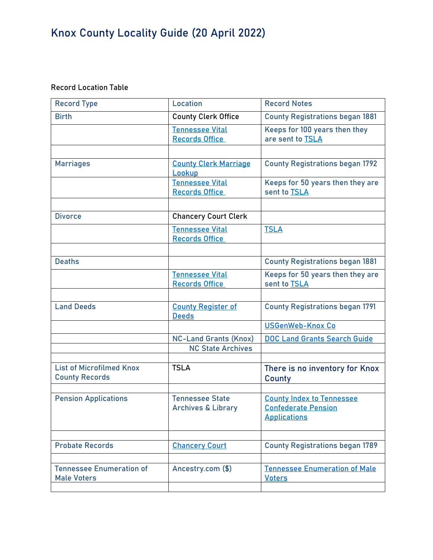### **Record Location Table**

| <b>Record Type</b>                                       | Location                                                 | <b>Record Notes</b>                                                                   |
|----------------------------------------------------------|----------------------------------------------------------|---------------------------------------------------------------------------------------|
| <b>Birth</b>                                             | <b>County Clerk Office</b>                               | <b>County Registrations began 1881</b>                                                |
|                                                          | <b>Tennessee Vital</b><br><b>Records Office</b>          | Keeps for 100 years then they<br>are sent to TSLA                                     |
|                                                          |                                                          |                                                                                       |
| <b>Marriages</b>                                         | <b>County Clerk Marriage</b><br>Lookup                   | <b>County Registrations began 1792</b>                                                |
|                                                          | <b>Tennessee Vital</b><br><b>Records Office</b>          | Keeps for 50 years then they are<br>sent to <b>TSLA</b>                               |
| <b>Divorce</b>                                           | <b>Chancery Court Clerk</b>                              |                                                                                       |
|                                                          | <b>Tennessee Vital</b><br><b>Records Office</b>          | <b>TSLA</b>                                                                           |
|                                                          |                                                          |                                                                                       |
| <b>Deaths</b>                                            |                                                          | <b>County Registrations began 1881</b>                                                |
|                                                          | <b>Tennessee Vital</b><br><b>Records Office</b>          | Keeps for 50 years then they are<br>sent to TSLA                                      |
|                                                          |                                                          |                                                                                       |
| <b>Land Deeds</b>                                        | <b>County Register of</b><br><b>Deeds</b>                | <b>County Registrations began 1791</b>                                                |
|                                                          |                                                          | <b>USGenWeb-Knox Co</b>                                                               |
|                                                          | <b>NC-Land Grants (Knox)</b><br><b>NC State Archives</b> | <b>DOC Land Grants Search Guide</b>                                                   |
| <b>List of Microfilmed Knox</b><br><b>County Records</b> | <b>TSLA</b>                                              | There is no inventory for Knox                                                        |
|                                                          |                                                          | County                                                                                |
| <b>Pension Applications</b>                              | <b>Tennessee State</b><br><b>Archives &amp; Library</b>  | <b>County Index to Tennessee</b><br><b>Confederate Pension</b><br><b>Applications</b> |
| <b>Probate Records</b>                                   | <b>Chancery Court</b>                                    | <b>County Registrations began 1789</b>                                                |
| <b>Tennessee Enumeration of</b><br><b>Male Voters</b>    | Ancestry.com (\$)                                        | <b>Tennessee Enumeration of Male</b><br><b>Voters</b>                                 |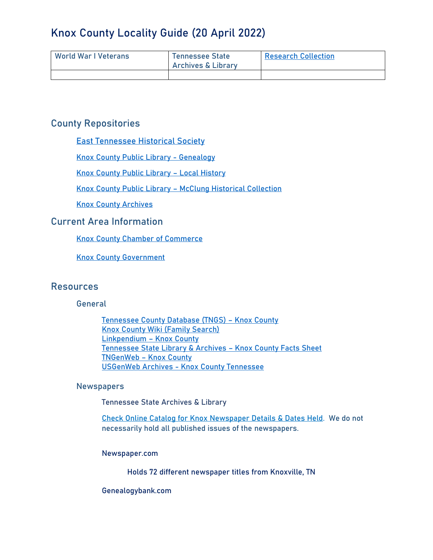| World War I Veterans | <b>Tennessee State</b><br><b>Archives &amp; Library</b> | <b>Research Collection</b> |
|----------------------|---------------------------------------------------------|----------------------------|
|                      |                                                         |                            |

### **County Repositories**

[East Tennessee Historical Society](https://www.easttnhistory.org/)

[Knox County Public Library -](https://www.knoxcountylibrary.org/explore-the-east-tennessee-history-center/genealogy) Genealogy

[Knox County Public Library](https://www.knoxcountylibrary.org/explore-the-east-tennessee-history-center/local-history) – Local History

Knox County Public Library – [McClung Historical Collection](https://www.knoxcountylibrary.org/calvin-m-mcclung-collection)

[Knox County Archives](https://www.knoxcountylibrary.org/knox-county-archives)

### **Current Area Information**

Knox [County Chamber of Commerce](https://www.knoxcountychamber.com/)

Knox [County Government](https://www.knoxcounty.org/)

### **Resources**

#### **General**

[Tennessee County Database \(TNGS\)](https://tngs.org/resources/Site/Custom_HTML_Files/TCD/County/Knox.html) – Knox County Knox [County Wiki \(Family Search\)](https://www.familysearch.org/wiki/en/Knox_County,_Tennessee_Genealogy) [Linkpendium](http://www.linkpendium.com/knox-tn-genealogy/) – Knox County [Tennessee State Library & Archives](https://sos.tn.gov/tsla/pages/genealogical-fact-sheets-about-knox-county) – Knox County Facts Sheet [TNGenWeb](https://knoxcotn.org/old_site/index.html) – Knox County [USGenWeb Archives -](http://usgwarchives.net/tn/knox/knox.html) Knox County Tennessee

#### **Newspapers**

Tennessee State Archives & Library

Check Online Catalog for Knox [Newspaper Details & Dates Held.](https://tnsla.ent.sirsi.net/client/en_US/tnslapublic/search/results?qu=Sneedville+%28Tenn.%29&qu=--&qu=Newspapers.&te=) We do not necessarily hold all published issues of the newspapers.

#### Newspaper.com

Holds 72 different newspaper titles from Knoxville, TN

#### Genealogybank.com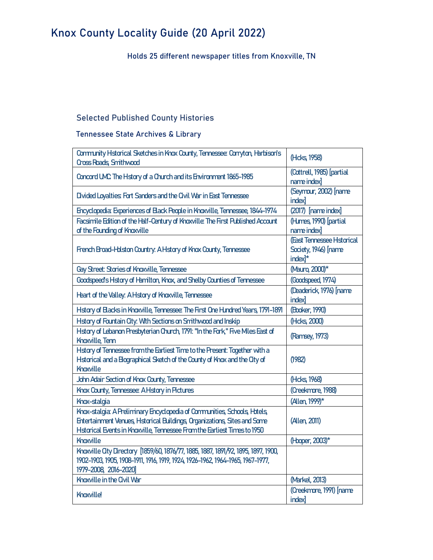Holds 25 different newspaper titles from Knoxville, TN

### **Selected Published County Histories**

Tennessee State Archives & Library

| Community Hstorical Sketches in Knox County, Tennessee: Corryton, Harbison's<br><b>Cross Roads, Smithwood</b>                                                                                                                            | (Hcks, 1958)                                                             |
|------------------------------------------------------------------------------------------------------------------------------------------------------------------------------------------------------------------------------------------|--------------------------------------------------------------------------|
| Concord UAC The Hstory of a Church and its Environment 1865-1985                                                                                                                                                                         | (Cottrell, 1985) [partial<br>name index <sup>1</sup>                     |
| Divided Loyalties: Fort Sanders and the Ovil War in East Tennessee                                                                                                                                                                       | (Seymour, 2002) [name<br><b>index</b>                                    |
| Encyclopedia: Experiences of Black People in Knoxville, Tennessee, 1844-1974                                                                                                                                                             | $(2017)$ [name index]                                                    |
| Facsimile Edition of the Half-Century of Knoxville: The First Published Account<br>of the Founding of Knoxville                                                                                                                          | (Humes 1990) [partial<br>name index                                      |
| French Broad-Holston Country: A History of Knox County, Tennessee                                                                                                                                                                        | (East Tennessee Hstorical<br>Society, 1946) [name<br>index <sup>1*</sup> |
| Gay Street: Stories of Knoxville, Tennessee                                                                                                                                                                                              | (Mauro, 2000)*                                                           |
| Goodspeed's Hstory of Hamilton, Knox, and Shelby Counties of Tennessee                                                                                                                                                                   | (Goodspeed, 1974)                                                        |
| Heart of the Valley: A Hstory of Knoxville, Tennessee                                                                                                                                                                                    | (Deaderick, 1976) [name<br><i>index]</i>                                 |
| Hstory of Blacks in Knoxville, Tennessee: The First One Hundred Years, 1791-1891                                                                                                                                                         | (Booker, 1990)                                                           |
| Hstory of Fountain City. With Sections on Smithwood and Inskip                                                                                                                                                                           | (Hcks, 2000)                                                             |
| Hstory of Lebanon Presbyterian Church, 1791: "In the Fork," Five Miles East of<br><b>Knoxville, Tenn</b>                                                                                                                                 | (Ramsey, 1973)                                                           |
| Hstory of Tennessee from the Earliest Time to the Present: Together with a<br>Hstorical and a Bographical Sketch of the County of Knox and the City of<br>Knoxville                                                                      | (1982)                                                                   |
| John Adair Section of Knox County, Tennessee                                                                                                                                                                                             | (Hcks, 1968)                                                             |
| Knox County, Tennessee: A Hstory in Pictures                                                                                                                                                                                             | (Creekmore, 1988)                                                        |
| Knox-stalgia                                                                                                                                                                                                                             | (Allen, 1999)*                                                           |
| Knox-stalgia: A Preliminary Encyclopedia of Communities, Schools, Hotels,<br><b>Entertainment Venues, Hstorical Buildings, Organizations, Sites and Some</b><br>Hstorical Events in Knoxville, Tennessee From the Earliest Times to 1950 | (Allen, 2011)                                                            |
| Knoxville                                                                                                                                                                                                                                | (Hoper, 2003)*                                                           |
| Knoxville City Directory [1859/60, 1876/77, 1885, 1887, 1891/92, 1895, 1897, 1900,<br>1902-1903, 1905, 1908-1911, 1916, 1919, 1924, 1926-1962, 1964-1965, 1967-1977,<br>1979-2008, 2016-2020]                                            |                                                                          |
| Knoxville in the Ovil War                                                                                                                                                                                                                | (Markel, 2013)                                                           |
| <b>Knoxville!</b>                                                                                                                                                                                                                        | (Creekmore, 1991) [name<br><b>index</b>                                  |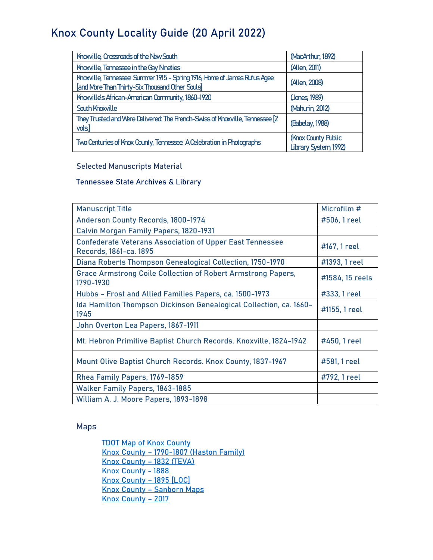| Knoxville, Crossroads of the New South                                                                                       | (MacArthur, 1892)                           |
|------------------------------------------------------------------------------------------------------------------------------|---------------------------------------------|
| Knoxville, Tennessee in the Gay Nneties                                                                                      | (Allen, 2011)                               |
| Knoxville, Tennessee: Summer 1915 - Spring 1916, Home of James Rufus Agee<br>[and More Than Thirty-Six Thousand Other Souls] | (Allen, 2008)                               |
| Knoxville's African-American Community, 1860-1920                                                                            | (Janes, 1989)                               |
| <b>South Knoxville</b>                                                                                                       | (Mahurin, 2012)                             |
| They Trusted and Were Delivered: The French-Swiss of Knoxville, Tennessee [2<br>vols]                                        | (Babelay, 1988)                             |
| Two Centuries of Knox County, Tennessee: A Celebration in Photographs                                                        | (Knox County Public<br>Library System 1992) |

#### **Selected Manuscripts Material**

#### Tennessee State Archives & Library

| <b>Manuscript Title</b>                                                                   | Microfilm #     |
|-------------------------------------------------------------------------------------------|-----------------|
| Anderson County Records, 1800-1974                                                        | #506, 1 reel    |
| <b>Calvin Morgan Family Papers, 1820-1931</b>                                             |                 |
| <b>Confederate Veterans Association of Upper East Tennessee</b><br>Records, 1861-ca. 1895 | #167, 1 reel    |
| Diana Roberts Thompson Genealogical Collection, 1750-1970                                 | #1393, 1 reel   |
| <b>Grace Armstrong Coile Collection of Robert Armstrong Papers,</b><br>1790-1930          | #1584, 15 reels |
| Hubbs - Frost and Allied Families Papers, ca. 1500-1973                                   | #333, 1 reel    |
| Ida Hamilton Thompson Dickinson Genealogical Collection, ca. 1660-<br>1945                | #1155, 1 reel   |
| John Overton Lea Papers, 1867-1911                                                        |                 |
| Mt. Hebron Primitive Baptist Church Records. Knoxville, 1824-1942                         | #450, 1 reel    |
| <b>Mount Olive Baptist Church Records. Knox County, 1837-1967</b>                         | #581, 1 reel    |
| Rhea Family Papers, 1769-1859                                                             | #792, 1 reel    |
| <b>Walker Family Papers, 1863-1885</b>                                                    |                 |
| William A. J. Moore Papers, 1893-1898                                                     |                 |

#### **Maps**

[TDOT Map of Knox](https://www.tn.gov/content/dam/tn/tdot/maps/county-maps-(us-shields)/h-m/Knox%20County.pdf) County Knox County – 1790-1807 [\(Haston](http://www.danielhaston.com/places/knox-co/knox-co-map.htm) Family) Knox County – 1832 (TEVA) Knox [County -](https://www.mygenealogyhound.com/maps/tennessee-maps/tn-knox-county-tennessee-1888-map.html) 1888 [Knox County](https://www.loc.gov/item/2004629227/) – 1895 [LOC] Knox County – [Sanborn Maps](https://www.loc.gov/collections/sanborn-maps/?fa=location:tennessee%7Clocation:knox+county) [Knox County](https://www.kgis.org/portal/Portals/0/Docs/Maps/ReadyMade/KnoxBaseMap.pdf) – 2017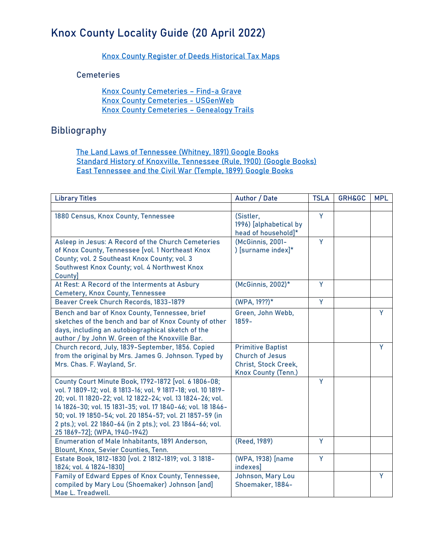[Knox County Register of Deeds Historical Tax Maps](https://www.knoxcounty.org/register/maps.php)

**Cemeteries**

Knox [County Cemeteries](https://www.findagrave.com/cemetery/search?cemetery-name=&cemetery-loc=Hancock+County%2C+Tennessee%2C+United+States+of+America&only-with-cemeteries=cemOnly&locationId=county_2458) – Find-a Grave Knox [County Cemeteries -](http://usgwarchives.net/tn/knox/knxcems.html) USGenWeb Knox [County Cemeteries](http://genealogytrails.com/tenn/hancock/cemetery.html) – Genealogy Trails

### **Bibliography**

[The Land Laws of Tennessee \(Whitney, 1891\)](https://www.google.com/books/edition/The_Land_Laws_of_Tennessee/I7kZAAAAYAAJ?hl=en&gbpv=0) Google Book[s](https://www.google.com/books/edition/The_Land_Laws_of_Tennessee/I7kZAAAAYAAJ?hl=en&gbpv=0) [Standard History of Knoxville, Tennessee \(Rule, 1900\) \(Google Books\)](https://www.google.com/books/edition/Standard_History_of_Knoxville_Tennessee/xpsaAAAAYAAJ?hl=en&gbpv=0) [East Tennessee and the Civil War \(Temple, 1899\) Google Books](https://www.google.com/books/edition/East_Tennessee_and_the_Civil_War/g8xYAAAAMAAJ?hl=en&gbpv=0)

| <b>Library Titles</b>                                                                                                                                                                                                                                                                                                                                                                                            | Author / Date                                                                                            | <b>TSLA</b> | <b>GRH&amp;GC</b> | <b>MPL</b> |
|------------------------------------------------------------------------------------------------------------------------------------------------------------------------------------------------------------------------------------------------------------------------------------------------------------------------------------------------------------------------------------------------------------------|----------------------------------------------------------------------------------------------------------|-------------|-------------------|------------|
|                                                                                                                                                                                                                                                                                                                                                                                                                  |                                                                                                          |             |                   |            |
| 1880 Census, Knox County, Tennessee                                                                                                                                                                                                                                                                                                                                                                              | (Sistler,<br>1996) [alphabetical by<br>head of household]*                                               | Y           |                   |            |
| Asleep in Jesus: A Record of the Church Cemeteries<br>of Knox County, Tennessee [vol. 1 Northeast Knox<br>County; vol. 2 Southeast Knox County; vol. 3<br>Southwest Knox County; vol. 4 Northwest Knox<br>County]                                                                                                                                                                                                | (McGinnis, 2001-<br>) [surname index]*                                                                   | Ÿ           |                   |            |
| At Rest: A Record of the Interments at Asbury<br><b>Cemetery, Knox County, Tennessee</b>                                                                                                                                                                                                                                                                                                                         | (McGinnis, 2002)*                                                                                        | Y           |                   |            |
| Beaver Creek Church Records, 1833-1879                                                                                                                                                                                                                                                                                                                                                                           | (WPA, 19??)*                                                                                             | Y           |                   |            |
| Bench and bar of Knox County, Tennessee, brief<br>sketches of the bench and bar of Knox County of other<br>days, including an autobiographical sketch of the<br>author / by John W. Green of the Knoxville Bar.                                                                                                                                                                                                  | Green, John Webb,<br>$1859 -$                                                                            |             |                   | Y          |
| Church record, July, 1839-September, 1856. Copied<br>from the original by Mrs. James G. Johnson. Typed by<br>Mrs. Chas. F. Wayland, Sr.                                                                                                                                                                                                                                                                          | <b>Primitive Baptist</b><br><b>Church of Jesus</b><br>Christ, Stock Creek,<br><b>Knox County (Tenn.)</b> |             |                   | Y          |
| County Court Minute Book, 1792-1872 [vol. 6 1806-08;<br>vol. 7 1809-12; vol. 8 1813-16; vol. 9 1817-18; vol. 10 1819-<br>20; vol. 11 1820-22; vol. 12 1822-24; vol. 13 1824-26; vol.<br>14 1826-30; vol. 15 1831-35; vol. 17 1840-46; vol. 18 1846-<br>50; vol. 19 1850-54; vol. 20 1854-57; vol. 21 1857-59 (in<br>2 pts.); vol. 22 1860-64 (in 2 pts.); vol. 23 1864-66; vol.<br>25 1869-72]; (WPA, 1940-1942) |                                                                                                          | Y           |                   |            |
| Enumeration of Male Inhabitants, 1891 Anderson,<br>Blount, Knox, Sevier Counties, Tenn.                                                                                                                                                                                                                                                                                                                          | (Reed, 1989)                                                                                             | Ÿ           |                   |            |
| Estate Book, 1812-1830 [vol. 2 1812-1819; vol. 3 1818-<br>1824; vol. 4 1824-1830]                                                                                                                                                                                                                                                                                                                                | (WPA, 1938) [name<br>indexes]                                                                            | Y           |                   |            |
| Family of Edward Eppes of Knox County, Tennessee,<br>compiled by Mary Lou (Shoemaker) Johnson [and]<br>Mae L. Treadwell.                                                                                                                                                                                                                                                                                         | Johnson, Mary Lou<br>Shoemaker, 1884-                                                                    |             |                   | Y          |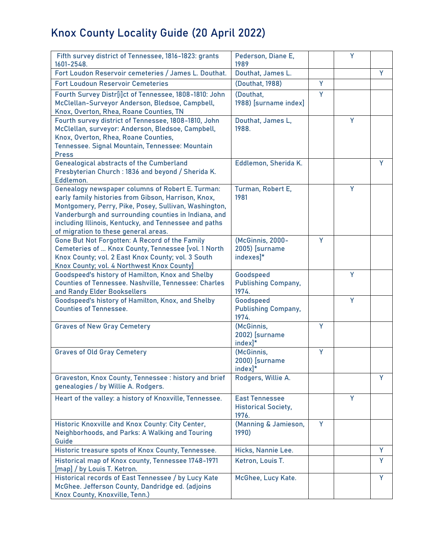| Fifth survey district of Tennessee, 1816-1823: grants<br>1601-2548.                                                                                                                                                                                                                                                       | Pederson, Diane E,<br>1989                                   |   | Y |   |
|---------------------------------------------------------------------------------------------------------------------------------------------------------------------------------------------------------------------------------------------------------------------------------------------------------------------------|--------------------------------------------------------------|---|---|---|
| Fort Loudon Reservoir cemeteries / James L. Douthat.                                                                                                                                                                                                                                                                      | Douthat, James L.                                            |   |   | Y |
| <b>Fort Loudoun Reservoir Cemeteries</b>                                                                                                                                                                                                                                                                                  | (Douthat, 1988)                                              | Ÿ |   |   |
| Fourth Survey Distr[i]ct of Tennessee, 1808-1810: John<br>McClellan-Surveyor Anderson, Bledsoe, Campbell,<br>Knox, Overton, Rhea, Roane Counties, TN                                                                                                                                                                      | (Douthat,<br>1988) [surname index]                           | Y |   |   |
| Fourth survey district of Tennessee, 1808-1810, John<br>McClellan, surveyor: Anderson, Bledsoe, Campbell,<br>Knox, Overton, Rhea, Roane Counties,<br>Tennessee. Signal Mountain, Tennessee: Mountain<br><b>Press</b>                                                                                                      | Douthat, James L,<br>1988.                                   |   | Y |   |
| Genealogical abstracts of the Cumberland<br>Presbyterian Church: 1836 and beyond / Sherida K.<br>Eddlemon.                                                                                                                                                                                                                | Eddlemon, Sherida K.                                         |   |   | Y |
| Genealogy newspaper columns of Robert E. Turman:<br>early family histories from Gibson, Harrison, Knox,<br>Montgomery, Perry, Pike, Posey, Sullivan, Washington,<br>Vanderburgh and surrounding counties in Indiana, and<br>including Illinois, Kentucky, and Tennessee and paths<br>of migration to these general areas. | Turman, Robert E,<br>1981                                    |   | Y |   |
| Gone But Not Forgotten: A Record of the Family<br>Cemeteries of  Knox County, Tennessee [vol. 1 North<br>Knox County; vol. 2 East Knox County; vol. 3 South<br>Knox County; vol. 4 Northwest Knox County]                                                                                                                 | (McGinnis, 2000-<br>2005) [surname<br>indexes]*              | Ÿ |   |   |
| Goodspeed's history of Hamilton, Knox and Shelby<br><b>Counties of Tennessee. Nashville, Tennessee: Charles</b><br>and Randy Elder Booksellers                                                                                                                                                                            | Goodspeed<br><b>Publishing Company,</b><br>1974.             |   | Y |   |
| Goodspeed's history of Hamilton, Knox, and Shelby<br><b>Counties of Tennessee.</b>                                                                                                                                                                                                                                        | Goodspeed<br><b>Publishing Company,</b><br>1974.             |   | Y |   |
| <b>Graves of New Gray Cemetery</b>                                                                                                                                                                                                                                                                                        | (McGinnis,<br>2002) [surname<br>$index]$ <sup>*</sup>        | Ÿ |   |   |
| <b>Graves of Old Gray Cemetery</b>                                                                                                                                                                                                                                                                                        | (McGinnis,<br>2000) [surname<br>index]*                      | Ÿ |   |   |
| Graveston, Knox County, Tennessee: history and brief<br>genealogies / by Willie A. Rodgers.                                                                                                                                                                                                                               | Rodgers, Willie A.                                           |   |   | Y |
| Heart of the valley: a history of Knoxville, Tennessee.                                                                                                                                                                                                                                                                   | <b>East Tennessee</b><br><b>Historical Society,</b><br>1976. |   | Y |   |
| Historic Knoxville and Knox County: City Center,<br>Neighborhoods, and Parks: A Walking and Touring<br>Guide                                                                                                                                                                                                              | (Manning & Jamieson,<br>1990)                                | Y |   |   |
| Historic treasure spots of Knox County, Tennessee.                                                                                                                                                                                                                                                                        | Hicks, Nannie Lee.                                           |   |   | Y |
| Historical map of Knox county, Tennessee 1748-1971<br>[map] / by Louis T. Ketron.                                                                                                                                                                                                                                         | Ketron, Louis T.                                             |   |   | Y |
| Historical records of East Tennessee / by Lucy Kate<br>McGhee. Jefferson County, Dandridge ed. (adjoins<br>Knox County, Knoxville, Tenn.)                                                                                                                                                                                 | McGhee, Lucy Kate.                                           |   |   | Y |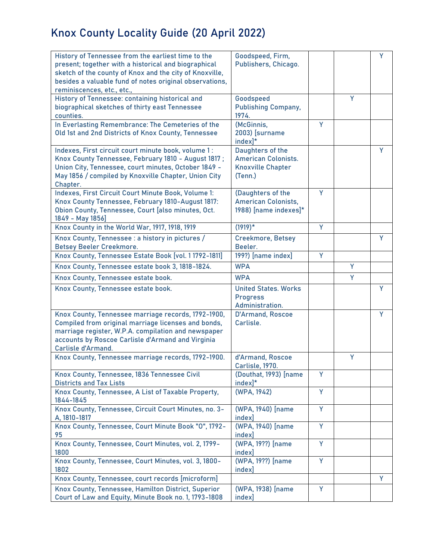| History of Tennessee from the earliest time to the<br>present; together with a historical and biographical<br>sketch of the county of Knox and the city of Knoxville,<br>besides a valuable fund of notes original observations,<br>reminiscences, etc., etc., | Goodspeed, Firm,<br>Publishers, Chicago.                                              |   |   | Υ |
|----------------------------------------------------------------------------------------------------------------------------------------------------------------------------------------------------------------------------------------------------------------|---------------------------------------------------------------------------------------|---|---|---|
| History of Tennessee: containing historical and<br>biographical sketches of thirty east Tennessee<br>counties.                                                                                                                                                 | Goodspeed<br><b>Publishing Company,</b><br>1974.                                      |   | Y |   |
| In Everlasting Remembrance: The Cemeteries of the<br>Old 1st and 2nd Districts of Knox County, Tennessee                                                                                                                                                       | (McGinnis,<br>2003) [surname<br>$index$ <sup>*</sup>                                  | Y |   |   |
| Indexes, First circuit court minute book, volume 1:<br>Knox County Tennessee, February 1810 - August 1817;<br>Union City, Tennessee, court minutes, October 1849 -<br>May 1856 / compiled by Knoxville Chapter, Union City<br>Chapter.                         | Daughters of the<br><b>American Colonists.</b><br><b>Knoxville Chapter</b><br>(Tenn.) |   |   | Y |
| Indexes, First Circuit Court Minute Book, Volume 1:<br>Knox County Tennessee, February 1810-August 1817:<br>Obion County, Tennessee, Court [also minutes, Oct.<br>1849 - May 1856]                                                                             | (Daughters of the<br><b>American Colonists,</b><br>1988) [name indexes]*              | Y |   |   |
| Knox County in the World War, 1917, 1918, 1919                                                                                                                                                                                                                 | $(1919)^*$                                                                            | Y |   |   |
| Knox County, Tennessee : a history in pictures /<br><b>Betsey Beeler Creekmore.</b>                                                                                                                                                                            | <b>Creekmore, Betsey</b><br>Beeler.                                                   |   |   | Y |
| Knox County, Tennessee Estate Book [vol. 11792-1811]                                                                                                                                                                                                           | 199?) [name index]                                                                    | Y |   |   |
| Knox County, Tennessee estate book 3, 1818-1824.                                                                                                                                                                                                               | <b>WPA</b>                                                                            |   | Y |   |
| Knox County, Tennessee estate book.                                                                                                                                                                                                                            | <b>WPA</b>                                                                            |   | Y |   |
| Knox County, Tennessee estate book.                                                                                                                                                                                                                            | <b>United States. Works</b><br><b>Progress</b><br>Administration.                     |   |   | Y |
| Knox County, Tennessee marriage records, 1792-1900,<br>Compiled from original marriage licenses and bonds,<br>marriage register, W.P.A. compilation and newspaper<br>accounts by Roscoe Carlisle d'Armand and Virginia<br>Carlisle d'Armand.                   | <b>D'Armand, Roscoe</b><br>Carlisle.                                                  |   |   | Y |
| Knox County, Tennessee marriage records, 1792-1900.                                                                                                                                                                                                            | d'Armand, Roscoe<br>Carlisle, 1970.                                                   |   | Y |   |
| Knox County, Tennessee, 1836 Tennessee Civil<br><b>Districts and Tax Lists</b>                                                                                                                                                                                 | (Douthat, 1993) [name<br>$index]$ *                                                   | Y |   |   |
| Knox County, Tennessee, A List of Taxable Property,<br>1844-1845                                                                                                                                                                                               | (WPA, 1942)                                                                           | Y |   |   |
| Knox County, Tennessee, Circuit Court Minutes, no. 3-<br>A, 1810-1817                                                                                                                                                                                          | (WPA, 1940) [name<br>index]                                                           | Y |   |   |
| Knox County, Tennessee, Court Minute Book "0", 1792-<br>95                                                                                                                                                                                                     | (WPA, 1940) [name<br>index]                                                           | Y |   |   |
| Knox County, Tennessee, Court Minutes, vol. 2, 1799-<br>1800                                                                                                                                                                                                   | (WPA, 19??) [name<br>index]                                                           | Y |   |   |
| Knox County, Tennessee, Court Minutes, vol. 3, 1800-<br>1802                                                                                                                                                                                                   | (WPA, 19??) [name<br>index]                                                           | Y |   |   |
| Knox County, Tennessee, court records [microform]                                                                                                                                                                                                              |                                                                                       |   |   | Y |
| Knox County, Tennessee, Hamilton District, Superior<br>Court of Law and Equity, Minute Book no. 1, 1793-1808                                                                                                                                                   | (WPA, 1938) [name<br>index]                                                           | Y |   |   |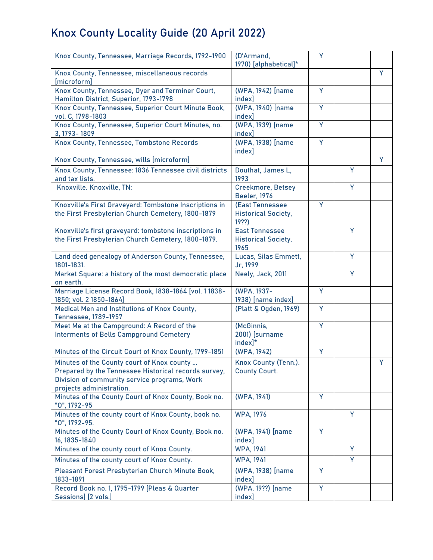| Knox County, Tennessee, Marriage Records, 1792-1900                                                                                                                            | (D'Armand,<br>1970) [alphabetical]*                         | Y |   |   |
|--------------------------------------------------------------------------------------------------------------------------------------------------------------------------------|-------------------------------------------------------------|---|---|---|
| Knox County, Tennessee, miscellaneous records<br>[microform]                                                                                                                   |                                                             |   |   | Y |
| Knox County, Tennessee, Oyer and Terminer Court,<br>Hamilton District, Superior, 1793-1798                                                                                     | (WPA, 1942) [name<br>index]                                 | Y |   |   |
| Knox County, Tennessee, Superior Court Minute Book,<br>vol. C, 1798-1803                                                                                                       | (WPA, 1940) [name<br>index]                                 | Y |   |   |
| Knox County, Tennessee, Superior Court Minutes, no.<br>3, 1793 - 1809                                                                                                          | (WPA, 1939) [name<br><i>index]</i>                          | Ÿ |   |   |
| Knox County, Tennessee, Tombstone Records                                                                                                                                      | (WPA, 1938) [name<br>index]                                 | Y |   |   |
| Knox County, Tennessee, wills [microform]                                                                                                                                      |                                                             |   |   | Y |
| Knox County, Tennessee: 1836 Tennessee civil districts<br>and tax lists.                                                                                                       | Douthat, James L,<br>1993                                   |   | Y |   |
| Knoxville. Knoxville, TN:                                                                                                                                                      | <b>Creekmore, Betsey</b><br><b>Beeler, 1976</b>             |   | Y |   |
| Knoxville's First Graveyard: Tombstone Inscriptions in<br>the First Presbyterian Church Cemetery, 1800-1879                                                                    | (East Tennessee<br><b>Historical Society,</b><br>$19?$ ?    | Y |   |   |
| Knoxville's first graveyard: tombstone inscriptions in<br>the First Presbyterian Church Cemetery, 1800-1879.                                                                   | <b>East Tennessee</b><br><b>Historical Society,</b><br>1965 |   | Y |   |
| Land deed genealogy of Anderson County, Tennessee,<br>1801-1831.                                                                                                               | Lucas, Silas Emmett,<br>Jr, 1999                            |   | Ÿ |   |
| Market Square: a history of the most democratic place<br>on earth.                                                                                                             | Neely, Jack, 2011                                           |   | Y |   |
| Marriage License Record Book, 1838-1864 [vol. 11838-<br>1850; vol. 2 1850-1864]                                                                                                | (WPA, 1937-<br>1938) [name index]                           | Ÿ |   |   |
| Medical Men and Institutions of Knox County,<br><b>Tennessee, 1789-1957</b>                                                                                                    | (Platt & Ogden, 1969)                                       | Ÿ |   |   |
| Meet Me at the Campground: A Record of the<br><b>Interments of Bells Campground Cemetery</b>                                                                                   | (McGinnis,<br>2001) [surname<br>$index]$ <sup>*</sup>       | Ÿ |   |   |
| Minutes of the Circuit Court of Knox County, 1799-1851                                                                                                                         | (WPA, 1942)                                                 | Ÿ |   |   |
| Minutes of the County court of Knox county<br>Prepared by the Tennessee Historical records survey,<br>Division of community service programs, Work<br>projects administration. | Knox County (Tenn.).<br><b>County Court.</b>                |   |   | Y |
| Minutes of the County Court of Knox County, Book no.<br>"0", 1792-95                                                                                                           | (WPA, 1941)                                                 | Y |   |   |
| Minutes of the county court of Knox County, book no.<br>"0", 1792-95.                                                                                                          | <b>WPA, 1976</b>                                            |   | Y |   |
| Minutes of the County Court of Knox County, Book no.<br>16, 1835-1840                                                                                                          | (WPA, 1941) [name<br>index]                                 | Ÿ |   |   |
| Minutes of the county court of Knox County.                                                                                                                                    | <b>WPA, 1941</b>                                            |   | Y |   |
| Minutes of the county court of Knox County.                                                                                                                                    | <b>WPA, 1941</b>                                            |   | Y |   |
| Pleasant Forest Presbyterian Church Minute Book,<br>1833-1891                                                                                                                  | (WPA, 1938) [name<br>index]                                 | Y |   |   |
| Record Book no. 1, 1795-1799 [Pleas & Quarter<br>Sessions] [2 vols.]                                                                                                           | (WPA, 19??) [name<br>index]                                 | Y |   |   |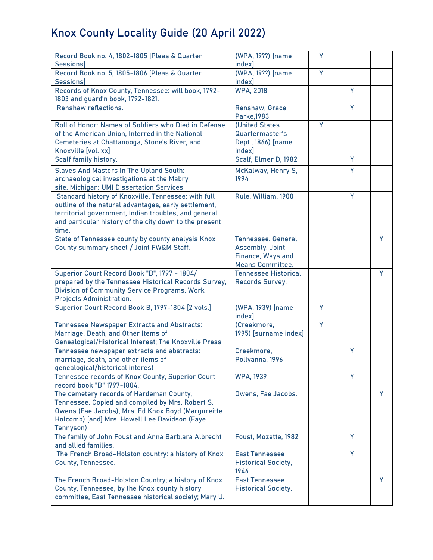| Record Book no. 4, 1802-1805 [Pleas & Quarter<br><b>Sessions</b> ]                            | (WPA, 19??) [name<br>index]        | Y |   |   |
|-----------------------------------------------------------------------------------------------|------------------------------------|---|---|---|
| Record Book no. 5, 1805-1806 [Pleas & Quarter                                                 | (WPA, 19??) [name                  | Ÿ |   |   |
| <b>Sessions</b><br>Records of Knox County, Tennessee: will book, 1792-                        | index]<br><b>WPA, 2018</b>         |   | Y |   |
| 1803 and guard'n book, 1792-1821.<br><b>Renshaw reflections.</b>                              | Renshaw, Grace                     |   | Y |   |
| Roll of Honor: Names of Soldiers who Died in Defense                                          | Parke, 1983<br>(United States.     | Ÿ |   |   |
| of the American Union, Interred in the National                                               | Quartermaster's                    |   |   |   |
| Cemeteries at Chattanooga, Stone's River, and                                                 | Dept., 1866) [name                 |   |   |   |
| Knoxville [vol. xx]                                                                           | index]                             |   |   |   |
| Scalf family history.                                                                         | Scalf, Elmer D, 1982               |   | Y |   |
| <b>Slaves And Masters In The Upland South:</b>                                                | McKalway, Henry S,                 |   | Y |   |
| archaeological investigations at the Mabry                                                    | 1994                               |   |   |   |
| site. Michigan: UMI Dissertation Services                                                     |                                    |   |   |   |
| Standard history of Knoxville, Tennessee: with full                                           | Rule, William, 1900                |   | Y |   |
| outline of the natural advantages, early settlement,                                          |                                    |   |   |   |
| territorial government, Indian troubles, and general                                          |                                    |   |   |   |
| and particular history of the city down to the present                                        |                                    |   |   |   |
| time.                                                                                         | <b>Tennessee, General</b>          |   |   | Y |
| State of Tennessee county by county analysis Knox<br>County summary sheet / Joint FW&M Staff. | <b>Assembly. Joint</b>             |   |   |   |
|                                                                                               | Finance, Ways and                  |   |   |   |
|                                                                                               | <b>Means Committee.</b>            |   |   |   |
| Superior Court Record Book "B", 1797 - 1804/                                                  | <b>Tennessee Historical</b>        |   |   | Y |
| prepared by the Tennessee Historical Records Survey,                                          | Records Survey.                    |   |   |   |
| <b>Division of Community Service Programs, Work</b>                                           |                                    |   |   |   |
| <b>Projects Administration.</b>                                                               |                                    |   |   |   |
| Superior Court Record Book B, 1797-1804 [2 vols.]                                             | (WPA, 1939) [name]<br>index]       | Ÿ |   |   |
| <b>Tennessee Newspaper Extracts and Abstracts:</b>                                            | (Creekmore,                        | Ÿ |   |   |
| Marriage, Death, and Other Items of                                                           | 1995) [surname index]              |   |   |   |
| <b>Genealogical/Historical Interest; The Knoxville Press</b>                                  |                                    |   |   |   |
| Tennessee newspaper extracts and abstracts:                                                   | Creekmore,                         |   | Y |   |
| marriage, death, and other items of                                                           | Pollyanna, 1996                    |   |   |   |
| genealogical/historical interest                                                              |                                    |   |   |   |
| Tennessee records of Knox County, Superior Court<br>record book "B" 1797-1804.                | <b>WPA, 1939</b>                   |   | Y |   |
| The cemetery records of Hardeman County,                                                      | Owens, Fae Jacobs.                 |   |   | Y |
| Tennessee. Copied and compiled by Mrs. Robert S.                                              |                                    |   |   |   |
| Owens (Fae Jacobs), Mrs. Ed Knox Boyd (Margureitte                                            |                                    |   |   |   |
| Holcomb) [and] Mrs. Howell Lee Davidson (Faye                                                 |                                    |   |   |   |
| Tennyson)<br>The family of John Foust and Anna Barb.ara Albrecht                              | Foust, Mozette, 1982               |   | Y |   |
| and allied families.                                                                          |                                    |   |   |   |
| The French Broad-Holston country: a history of Knox                                           | <b>East Tennessee</b>              |   | Y |   |
| <b>County, Tennessee.</b>                                                                     | <b>Historical Society,</b><br>1946 |   |   |   |
| The French Broad-Holston Country; a history of Knox                                           | <b>East Tennessee</b>              |   |   | Y |
| County, Tennessee, by the Knox county history                                                 | <b>Historical Society.</b>         |   |   |   |
| committee, East Tennessee historical society; Mary U.                                         |                                    |   |   |   |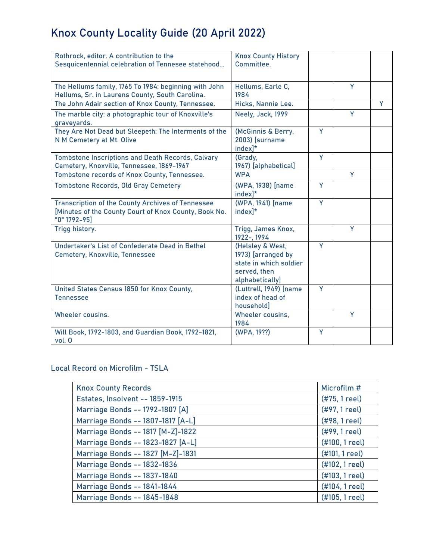| Rothrock, editor. A contribution to the<br>Sesquicentennial celebration of Tennesee statehood                                     | <b>Knox County History</b><br>Committee.                                                            |   |   |   |
|-----------------------------------------------------------------------------------------------------------------------------------|-----------------------------------------------------------------------------------------------------|---|---|---|
| The Hellums family, 1765 To 1984: beginning with John<br>Hellums, Sr. in Laurens County, South Carolina.                          | Hellums, Earle C,<br>1984                                                                           |   | Y |   |
| The John Adair section of Knox County, Tennessee.                                                                                 | Hicks, Nannie Lee.                                                                                  |   |   | Y |
| The marble city: a photographic tour of Knoxville's<br>graveyards.                                                                | Neely, Jack, 1999                                                                                   |   | Ÿ |   |
| They Are Not Dead but Sleepeth: The Interments of the<br>N M Cemetery at Mt. Olive                                                | (McGinnis & Berry,<br>2003) [surname<br>index]*                                                     | Y |   |   |
| <b>Tombstone Inscriptions and Death Records, Calvary</b><br>Cemetery, Knoxville, Tennessee, 1869-1967                             | (Grady,<br>1967) [alphabetical]                                                                     | Ÿ |   |   |
| Tombstone records of Knox County, Tennessee.                                                                                      | <b>WPA</b>                                                                                          |   | Y |   |
| <b>Tombstone Records, Old Gray Cemetery</b>                                                                                       | (WPA, 1938) [name<br>index]*                                                                        | Y |   |   |
| <b>Transcription of the County Archives of Tennessee</b><br>[Minutes of the County Court of Knox County, Book No.<br>"0" 1792-95] | (WPA, 1941) [name<br>$index$ <sup>*</sup>                                                           | Ÿ |   |   |
| Trigg history.                                                                                                                    | Trigg, James Knox,<br>1922-, 1994                                                                   |   | Y |   |
| Undertaker's List of Confederate Dead in Bethel<br>Cemetery, Knoxville, Tennessee                                                 | (Helsley & West,<br>1973) [arranged by<br>state in which soldier<br>served, then<br>alphabetically] | Y |   |   |
| United States Census 1850 for Knox County,<br><b>Tennessee</b>                                                                    | (Luttrell, 1949) [name<br>index of head of<br>household]                                            | Y |   |   |
| Wheeler cousins.                                                                                                                  | Wheeler cousins,<br>1984                                                                            |   | Y |   |
| Will Book, 1792-1803, and Guardian Book, 1792-1821,<br>vol. 0                                                                     | (WPA, 19??)                                                                                         | Ÿ |   |   |

### **Local Record on Microfilm - TSLA**

| <b>Knox County Records</b>             | Microfilm #      |
|----------------------------------------|------------------|
| <b>Estates, Insolvent -- 1859-1915</b> | (#75, 1 reel)    |
| Marriage Bonds -- 1792-1807 [A]        | (#97, 1 reel)    |
| Marriage Bonds -- 1807-1817 [A-L]      | (#98, 1 reel)    |
| Marriage Bonds -- 1817 [M-Z]-1822      | (#99, 1 reel)    |
| Marriage Bonds -- 1823-1827 [A-L]      | (#100, 1 reel)   |
| Marriage Bonds -- 1827 [M-Z]-1831      | (#101, 1 reel)   |
| <b>Marriage Bonds -- 1832-1836</b>     | (#102, 1 reel)   |
| <b>Marriage Bonds -- 1837-1840</b>     | (#103, 1 reel)   |
| <b>Marriage Bonds -- 1841-1844</b>     | (#104, 1 reel)   |
| <b>Marriage Bonds -- 1845-1848</b>     | $(H105, 1$ reel) |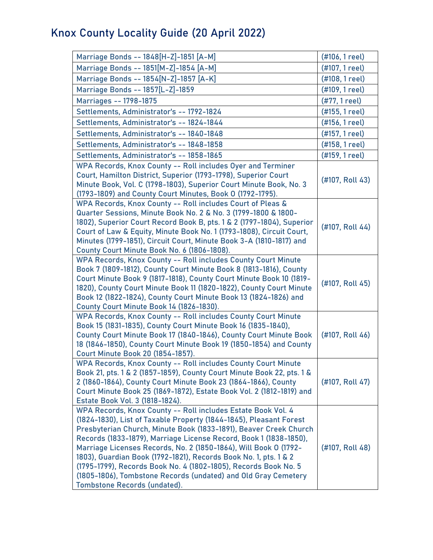| Marriage Bonds -- 1848[H-Z]-1851 [A-M]                                                                                                                                                                                                                                                                                                                                                                                                                                                                                                                                                           | (#106, 1 reel)  |
|--------------------------------------------------------------------------------------------------------------------------------------------------------------------------------------------------------------------------------------------------------------------------------------------------------------------------------------------------------------------------------------------------------------------------------------------------------------------------------------------------------------------------------------------------------------------------------------------------|-----------------|
| Marriage Bonds -- 1851[M-Z]-1854 [A-M]                                                                                                                                                                                                                                                                                                                                                                                                                                                                                                                                                           | (#107, 1 reel)  |
| Marriage Bonds -- 1854[N-Z]-1857 [A-K]                                                                                                                                                                                                                                                                                                                                                                                                                                                                                                                                                           | (#108, 1 reel)  |
| Marriage Bonds -- 1857[L-Z]-1859                                                                                                                                                                                                                                                                                                                                                                                                                                                                                                                                                                 | (#109, 1 reel)  |
| Marriages -- 1798-1875                                                                                                                                                                                                                                                                                                                                                                                                                                                                                                                                                                           | (#77, 1 reel)   |
| Settlements, Administrator's -- 1792-1824                                                                                                                                                                                                                                                                                                                                                                                                                                                                                                                                                        | (#155, 1 reel)  |
| Settlements, Administrator's -- 1824-1844                                                                                                                                                                                                                                                                                                                                                                                                                                                                                                                                                        | (#156, 1 reel)  |
| Settlements, Administrator's -- 1840-1848                                                                                                                                                                                                                                                                                                                                                                                                                                                                                                                                                        | (#157, 1 reel)  |
| Settlements, Administrator's -- 1848-1858                                                                                                                                                                                                                                                                                                                                                                                                                                                                                                                                                        | (#158, 1 reel)  |
| Settlements, Administrator's -- 1858-1865                                                                                                                                                                                                                                                                                                                                                                                                                                                                                                                                                        | (#159, 1 reel)  |
| WPA Records, Knox County -- Roll includes Oyer and Terminer<br>Court, Hamilton District, Superior (1793-1798), Superior Court<br>Minute Book, Vol. C (1798-1803), Superior Court Minute Book, No. 3<br>(1793-1809) and County Court Minutes, Book 0 (1792-1795).                                                                                                                                                                                                                                                                                                                                 | (#107, Roll 43) |
| WPA Records, Knox County -- Roll includes Court of Pleas &<br>Quarter Sessions, Minute Book No. 2 & No. 3 (1799-1800 & 1800-<br>1802), Superior Court Record Book B, pts. 1 & 2 (1797-1804), Superior<br>Court of Law & Equity, Minute Book No. 1 (1793-1808), Circuit Court,<br>Minutes (1799-1851), Circuit Court, Minute Book 3-A (1810-1817) and<br>County Court Minute Book No. 6 (1806-1808).                                                                                                                                                                                              | (#107, Roll 44) |
| WPA Records, Knox County -- Roll includes County Court Minute<br>Book 7 (1809-1812), County Court Minute Book 8 (1813-1816), County<br>Court Minute Book 9 (1817-1818), County Court Minute Book 10 (1819-<br>1820), County Court Minute Book 11 (1820-1822), County Court Minute<br>Book 12 (1822-1824), County Court Minute Book 13 (1824-1826) and<br>County Court Minute Book 14 (1826-1830).                                                                                                                                                                                                | (#107, Roll 45) |
| WPA Records, Knox County -- Roll includes County Court Minute<br>Book 15 (1831-1835), County Court Minute Book 16 (1835-1840),<br>County Court Minute Book 17 (1840-1846), County Court Minute Book<br>18 (1846-1850), County Court Minute Book 19 (1850-1854) and County<br>Court Minute Book 20 (1854-1857).                                                                                                                                                                                                                                                                                   | (#107, Roll 46) |
| WPA Records, Knox County -- Roll includes County Court Minute<br>Book 21, pts. 1 & 2 (1857-1859), County Court Minute Book 22, pts. 1 &<br>2 (1860-1864), County Court Minute Book 23 (1864-1866), County<br>Court Minute Book 25 (1869-1872), Estate Book Vol. 2 (1812-1819) and<br>Estate Book Vol. 3 (1818-1824).                                                                                                                                                                                                                                                                             | (#107, Roll 47) |
| WPA Records, Knox County -- Roll includes Estate Book Vol. 4<br>(1824-1830), List of Taxable Property (1844-1845), Pleasant Forest<br>Presbyterian Church, Minute Book (1833-1891), Beaver Creek Church<br>Records (1833-1879), Marriage License Record, Book 1 (1838-1850),<br>Marriage Licenses Records, No. 2 (1850-1864), Will Book O (1792-<br>1803), Guardian Book (1792-1821), Records Book No. 1, pts. 1 & 2<br>(1795-1799), Records Book No. 4 (1802-1805), Records Book No. 5<br>(1805-1806), Tombstone Records (undated) and Old Gray Cemetery<br><b>Tombstone Records (undated).</b> | (#107, Roll 48) |